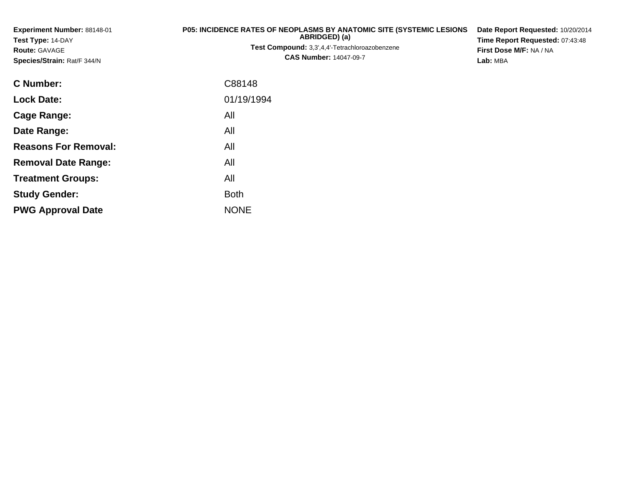| Experiment Number: 88148-01<br>Test Type: 14-DAY<br><b>Route: GAVAGE</b><br>Species/Strain: Rat/F 344/N | <b>P05: INCIDENCE RATES OF NEOPLASMS BY ANATOMIC SITE (SYSTEMIC LESIONS</b><br>ABRIDGED) (a)<br>Test Compound: 3,3',4,4'-Tetrachloroazobenzene<br><b>CAS Number: 14047-09-7</b> |  |  |  |  |  |
|---------------------------------------------------------------------------------------------------------|---------------------------------------------------------------------------------------------------------------------------------------------------------------------------------|--|--|--|--|--|
| <b>C</b> Number:                                                                                        | C88148                                                                                                                                                                          |  |  |  |  |  |
| <b>Lock Date:</b>                                                                                       | 01/19/1994                                                                                                                                                                      |  |  |  |  |  |
| Cage Range:                                                                                             | All                                                                                                                                                                             |  |  |  |  |  |
| Date Range:                                                                                             | All                                                                                                                                                                             |  |  |  |  |  |
| <b>Reasons For Removal:</b>                                                                             | All                                                                                                                                                                             |  |  |  |  |  |
| <b>Removal Date Range:</b>                                                                              | All                                                                                                                                                                             |  |  |  |  |  |
| <b>Treatment Groups:</b>                                                                                | All                                                                                                                                                                             |  |  |  |  |  |
| <b>Study Gender:</b>                                                                                    | <b>Both</b>                                                                                                                                                                     |  |  |  |  |  |
| <b>PWG Approval Date</b>                                                                                | <b>NONE</b>                                                                                                                                                                     |  |  |  |  |  |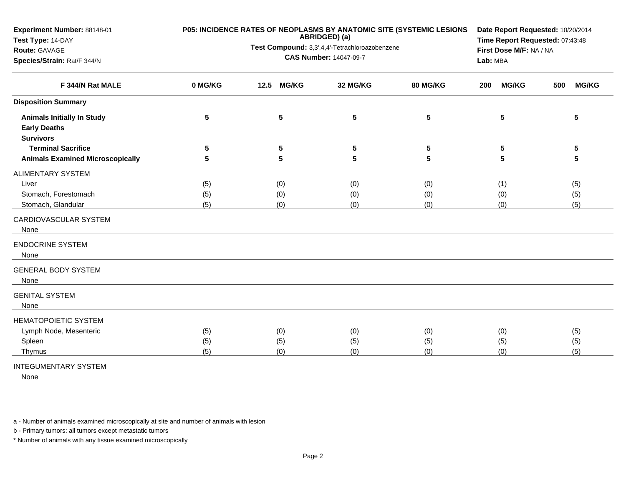| Experiment Number: 88148-01             |         | P05: INCIDENCE RATES OF NEOPLASMS BY ANATOMIC SITE (SYSTEMIC LESIONS<br>ABRIDGED) (a) | Date Report Requested: 10/20/2014<br>Time Report Requested: 07:43:48 |          |                                     |                     |  |  |
|-----------------------------------------|---------|---------------------------------------------------------------------------------------|----------------------------------------------------------------------|----------|-------------------------------------|---------------------|--|--|
| Test Type: 14-DAY<br>Route: GAVAGE      |         | Test Compound: 3,3',4,4'-Tetrachloroazobenzene                                        |                                                                      |          |                                     |                     |  |  |
| Species/Strain: Rat/F 344/N             |         |                                                                                       | <b>CAS Number: 14047-09-7</b>                                        |          | First Dose M/F: NA / NA<br>Lab: MBA |                     |  |  |
|                                         |         |                                                                                       |                                                                      |          |                                     |                     |  |  |
| F 344/N Rat MALE                        | 0 MG/KG | <b>MG/KG</b><br>12.5                                                                  | 32 MG/KG                                                             | 80 MG/KG | <b>MG/KG</b><br>200                 | <b>MG/KG</b><br>500 |  |  |
| <b>Disposition Summary</b>              |         |                                                                                       |                                                                      |          |                                     |                     |  |  |
| <b>Animals Initially In Study</b>       | 5       | 5                                                                                     | 5                                                                    | 5        | 5                                   | 5                   |  |  |
| <b>Early Deaths</b>                     |         |                                                                                       |                                                                      |          |                                     |                     |  |  |
| <b>Survivors</b>                        |         |                                                                                       |                                                                      |          |                                     |                     |  |  |
| <b>Terminal Sacrifice</b>               | 5       | 5                                                                                     | 5                                                                    | 5        | 5                                   | 5                   |  |  |
| <b>Animals Examined Microscopically</b> | 5       | 5                                                                                     | 5                                                                    | 5        | 5                                   | 5                   |  |  |
| <b>ALIMENTARY SYSTEM</b>                |         |                                                                                       |                                                                      |          |                                     |                     |  |  |
| Liver                                   | (5)     | (0)                                                                                   | (0)                                                                  | (0)      | (1)                                 | (5)                 |  |  |
| Stomach, Forestomach                    | (5)     | (0)                                                                                   | (0)                                                                  | (0)      | (0)                                 | (5)                 |  |  |
| Stomach, Glandular                      | (5)     | (0)                                                                                   | (0)                                                                  | (0)      | (0)                                 | (5)                 |  |  |
| CARDIOVASCULAR SYSTEM<br>None           |         |                                                                                       |                                                                      |          |                                     |                     |  |  |
| <b>ENDOCRINE SYSTEM</b><br>None         |         |                                                                                       |                                                                      |          |                                     |                     |  |  |
| <b>GENERAL BODY SYSTEM</b><br>None      |         |                                                                                       |                                                                      |          |                                     |                     |  |  |
| <b>GENITAL SYSTEM</b><br>None           |         |                                                                                       |                                                                      |          |                                     |                     |  |  |
| <b>HEMATOPOIETIC SYSTEM</b>             |         |                                                                                       |                                                                      |          |                                     |                     |  |  |
| Lymph Node, Mesenteric                  | (5)     | (0)                                                                                   | (0)                                                                  | (0)      | (0)                                 | (5)                 |  |  |
| Spleen                                  | (5)     | (5)                                                                                   | (5)                                                                  | (5)      | (5)                                 | (5)                 |  |  |
| Thymus                                  | (5)     | (0)                                                                                   | (0)                                                                  | (0)      | (0)                                 | (5)                 |  |  |
|                                         |         |                                                                                       |                                                                      |          |                                     |                     |  |  |

INTEGUMENTARY SYSTEM

None

a - Number of animals examined microscopically at site and number of animals with lesion

b - Primary tumors: all tumors except metastatic tumors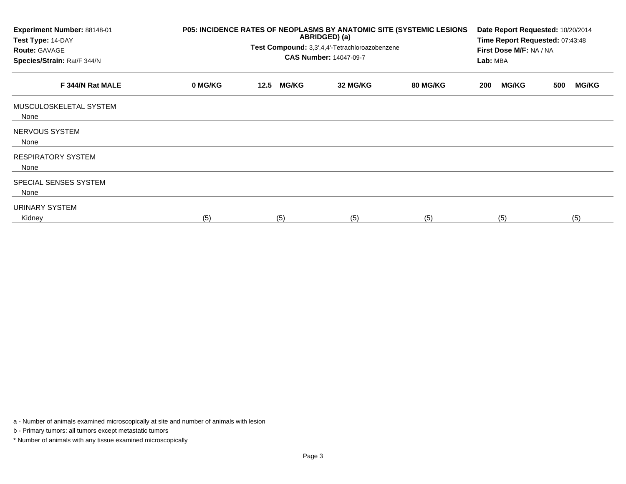| Experiment Number: 88148-01<br>Test Type: 14-DAY<br><b>Route: GAVAGE</b><br>Species/Strain: Rat/F 344/N | P05: INCIDENCE RATES OF NEOPLASMS BY ANATOMIC SITE (SYSTEMIC LESIONS | Date Report Requested: 10/20/2014<br>Time Report Requested: 07:43:48<br>First Dose M/F: NA / NA<br>Lab: MBA |          |                 |                     |                     |
|---------------------------------------------------------------------------------------------------------|----------------------------------------------------------------------|-------------------------------------------------------------------------------------------------------------|----------|-----------------|---------------------|---------------------|
| F 344/N Rat MALE                                                                                        | 0 MG/KG                                                              | <b>MG/KG</b><br>12.5                                                                                        | 32 MG/KG | <b>80 MG/KG</b> | <b>MG/KG</b><br>200 | <b>MG/KG</b><br>500 |
| MUSCULOSKELETAL SYSTEM<br>None                                                                          |                                                                      |                                                                                                             |          |                 |                     |                     |
| NERVOUS SYSTEM<br>None                                                                                  |                                                                      |                                                                                                             |          |                 |                     |                     |
| <b>RESPIRATORY SYSTEM</b><br>None                                                                       |                                                                      |                                                                                                             |          |                 |                     |                     |
| SPECIAL SENSES SYSTEM<br>None                                                                           |                                                                      |                                                                                                             |          |                 |                     |                     |
| URINARY SYSTEM<br>Kidney                                                                                | (5)                                                                  | (5)                                                                                                         | (5)      | (5)             | (5)                 | (5)                 |

a - Number of animals examined microscopically at site and number of animals with lesion

b - Primary tumors: all tumors except metastatic tumors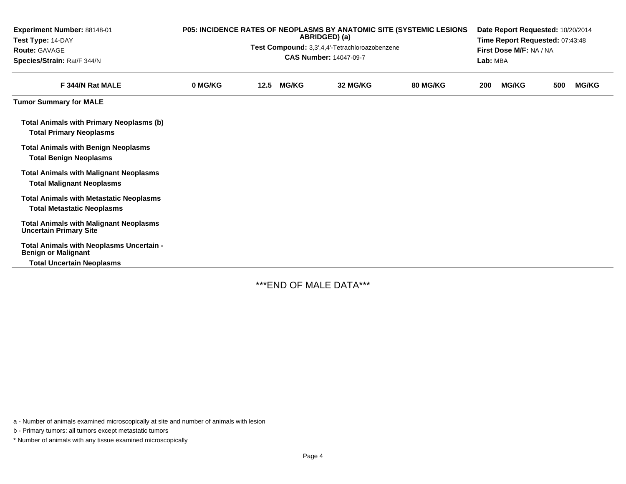| Experiment Number: 88148-01<br>Test Type: 14-DAY<br><b>Route: GAVAGE</b><br>Species/Strain: Rat/F 344/N | P05: INCIDENCE RATES OF NEOPLASMS BY ANATOMIC SITE (SYSTEMIC LESIONS<br>ABRIDGED) (a)<br>Test Compound: 3,3',4,4'-Tetrachloroazobenzene<br><b>CAS Number: 14047-09-7</b> |      |              |          |          |     | Date Report Requested: 10/20/2014<br>Time Report Requested: 07:43:48<br>First Dose M/F: NA / NA<br>Lab: MBA |     |              |  |  |
|---------------------------------------------------------------------------------------------------------|--------------------------------------------------------------------------------------------------------------------------------------------------------------------------|------|--------------|----------|----------|-----|-------------------------------------------------------------------------------------------------------------|-----|--------------|--|--|
| F 344/N Rat MALE                                                                                        | 0 MG/KG                                                                                                                                                                  | 12.5 | <b>MG/KG</b> | 32 MG/KG | 80 MG/KG | 200 | <b>MG/KG</b>                                                                                                | 500 | <b>MG/KG</b> |  |  |
| <b>Tumor Summary for MALE</b>                                                                           |                                                                                                                                                                          |      |              |          |          |     |                                                                                                             |     |              |  |  |
| <b>Total Animals with Primary Neoplasms (b)</b><br><b>Total Primary Neoplasms</b>                       |                                                                                                                                                                          |      |              |          |          |     |                                                                                                             |     |              |  |  |
| <b>Total Animals with Benign Neoplasms</b><br><b>Total Benign Neoplasms</b>                             |                                                                                                                                                                          |      |              |          |          |     |                                                                                                             |     |              |  |  |
| <b>Total Animals with Malignant Neoplasms</b><br><b>Total Malignant Neoplasms</b>                       |                                                                                                                                                                          |      |              |          |          |     |                                                                                                             |     |              |  |  |
| <b>Total Animals with Metastatic Neoplasms</b><br><b>Total Metastatic Neoplasms</b>                     |                                                                                                                                                                          |      |              |          |          |     |                                                                                                             |     |              |  |  |
| <b>Total Animals with Malignant Neoplasms</b><br><b>Uncertain Primary Site</b>                          |                                                                                                                                                                          |      |              |          |          |     |                                                                                                             |     |              |  |  |
| Total Animals with Neoplasms Uncertain -<br><b>Benign or Malignant</b>                                  |                                                                                                                                                                          |      |              |          |          |     |                                                                                                             |     |              |  |  |
| <b>Total Uncertain Neoplasms</b>                                                                        |                                                                                                                                                                          |      |              |          |          |     |                                                                                                             |     |              |  |  |

\*\*\*END OF MALE DATA\*\*\*

a - Number of animals examined microscopically at site and number of animals with lesion

b - Primary tumors: all tumors except metastatic tumors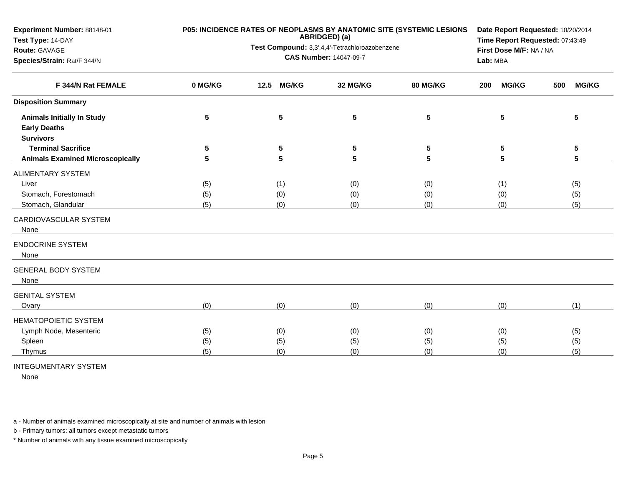| ABRIDGED) (a)<br>Test Compound: 3,3',4,4'-Tetrachloroazobenzene<br>First Dose M/F: NA / NA<br><b>Route: GAVAGE</b><br><b>CAS Number: 14047-09-7</b><br>Species/Strain: Rat/F 344/N<br>Lab: MBA<br>0 MG/KG<br><b>MG/KG</b><br>F 344/N Rat FEMALE<br>12.5<br>32 MG/KG<br>80 MG/KG<br><b>MG/KG</b><br><b>MG/KG</b><br>200<br>500<br><b>Disposition Summary</b><br>5<br>5<br>5<br>5<br>5<br><b>Animals Initially In Study</b><br>5<br><b>Early Deaths</b><br><b>Survivors</b><br><b>Terminal Sacrifice</b><br>5<br>5<br>5<br>5<br>5<br>5<br>5<br>5<br>5<br>5<br>5<br><b>Animals Examined Microscopically</b><br>5<br><b>ALIMENTARY SYSTEM</b><br>Liver<br>(0)<br>(0)<br>(5)<br>(1)<br>(1)<br>(5)<br>Stomach, Forestomach<br>(5)<br>(0)<br>(0)<br>(0)<br>(0)<br>(5)<br>(5)<br>(5)<br>Stomach, Glandular<br>(0)<br>(0)<br>(0)<br>(0)<br>CARDIOVASCULAR SYSTEM<br>None<br><b>ENDOCRINE SYSTEM</b><br>None<br><b>GENERAL BODY SYSTEM</b><br>None<br><b>GENITAL SYSTEM</b><br>(0)<br>(0)<br>(0)<br>(0)<br>(0)<br>(1)<br>Ovary<br>HEMATOPOIETIC SYSTEM<br>Lymph Node, Mesenteric<br>(0)<br>(5)<br>(0)<br>(0)<br>(0)<br>(5)<br>Spleen<br>(5)<br>(5)<br>(5)<br>(5)<br>(5)<br>(5)<br>(5)<br>(0)<br>(0)<br>(0)<br>(0)<br>(5)<br>Thymus | Experiment Number: 88148-01 | P05: INCIDENCE RATES OF NEOPLASMS BY ANATOMIC SITE (SYSTEMIC LESIONS | Date Report Requested: 10/20/2014<br>Time Report Requested: 07:43:49 |  |  |  |
|--------------------------------------------------------------------------------------------------------------------------------------------------------------------------------------------------------------------------------------------------------------------------------------------------------------------------------------------------------------------------------------------------------------------------------------------------------------------------------------------------------------------------------------------------------------------------------------------------------------------------------------------------------------------------------------------------------------------------------------------------------------------------------------------------------------------------------------------------------------------------------------------------------------------------------------------------------------------------------------------------------------------------------------------------------------------------------------------------------------------------------------------------------------------------------------------------------------------------|-----------------------------|----------------------------------------------------------------------|----------------------------------------------------------------------|--|--|--|
|                                                                                                                                                                                                                                                                                                                                                                                                                                                                                                                                                                                                                                                                                                                                                                                                                                                                                                                                                                                                                                                                                                                                                                                                                          | Test Type: 14-DAY           |                                                                      |                                                                      |  |  |  |
|                                                                                                                                                                                                                                                                                                                                                                                                                                                                                                                                                                                                                                                                                                                                                                                                                                                                                                                                                                                                                                                                                                                                                                                                                          |                             |                                                                      |                                                                      |  |  |  |
|                                                                                                                                                                                                                                                                                                                                                                                                                                                                                                                                                                                                                                                                                                                                                                                                                                                                                                                                                                                                                                                                                                                                                                                                                          |                             |                                                                      |                                                                      |  |  |  |
|                                                                                                                                                                                                                                                                                                                                                                                                                                                                                                                                                                                                                                                                                                                                                                                                                                                                                                                                                                                                                                                                                                                                                                                                                          |                             |                                                                      |                                                                      |  |  |  |
|                                                                                                                                                                                                                                                                                                                                                                                                                                                                                                                                                                                                                                                                                                                                                                                                                                                                                                                                                                                                                                                                                                                                                                                                                          |                             |                                                                      |                                                                      |  |  |  |
|                                                                                                                                                                                                                                                                                                                                                                                                                                                                                                                                                                                                                                                                                                                                                                                                                                                                                                                                                                                                                                                                                                                                                                                                                          |                             |                                                                      |                                                                      |  |  |  |
|                                                                                                                                                                                                                                                                                                                                                                                                                                                                                                                                                                                                                                                                                                                                                                                                                                                                                                                                                                                                                                                                                                                                                                                                                          |                             |                                                                      |                                                                      |  |  |  |
|                                                                                                                                                                                                                                                                                                                                                                                                                                                                                                                                                                                                                                                                                                                                                                                                                                                                                                                                                                                                                                                                                                                                                                                                                          |                             |                                                                      |                                                                      |  |  |  |
|                                                                                                                                                                                                                                                                                                                                                                                                                                                                                                                                                                                                                                                                                                                                                                                                                                                                                                                                                                                                                                                                                                                                                                                                                          |                             |                                                                      |                                                                      |  |  |  |
|                                                                                                                                                                                                                                                                                                                                                                                                                                                                                                                                                                                                                                                                                                                                                                                                                                                                                                                                                                                                                                                                                                                                                                                                                          |                             |                                                                      |                                                                      |  |  |  |
|                                                                                                                                                                                                                                                                                                                                                                                                                                                                                                                                                                                                                                                                                                                                                                                                                                                                                                                                                                                                                                                                                                                                                                                                                          |                             |                                                                      |                                                                      |  |  |  |
|                                                                                                                                                                                                                                                                                                                                                                                                                                                                                                                                                                                                                                                                                                                                                                                                                                                                                                                                                                                                                                                                                                                                                                                                                          |                             |                                                                      |                                                                      |  |  |  |
|                                                                                                                                                                                                                                                                                                                                                                                                                                                                                                                                                                                                                                                                                                                                                                                                                                                                                                                                                                                                                                                                                                                                                                                                                          |                             |                                                                      |                                                                      |  |  |  |
|                                                                                                                                                                                                                                                                                                                                                                                                                                                                                                                                                                                                                                                                                                                                                                                                                                                                                                                                                                                                                                                                                                                                                                                                                          |                             |                                                                      |                                                                      |  |  |  |
|                                                                                                                                                                                                                                                                                                                                                                                                                                                                                                                                                                                                                                                                                                                                                                                                                                                                                                                                                                                                                                                                                                                                                                                                                          |                             |                                                                      |                                                                      |  |  |  |
|                                                                                                                                                                                                                                                                                                                                                                                                                                                                                                                                                                                                                                                                                                                                                                                                                                                                                                                                                                                                                                                                                                                                                                                                                          |                             |                                                                      |                                                                      |  |  |  |
|                                                                                                                                                                                                                                                                                                                                                                                                                                                                                                                                                                                                                                                                                                                                                                                                                                                                                                                                                                                                                                                                                                                                                                                                                          |                             |                                                                      |                                                                      |  |  |  |
|                                                                                                                                                                                                                                                                                                                                                                                                                                                                                                                                                                                                                                                                                                                                                                                                                                                                                                                                                                                                                                                                                                                                                                                                                          |                             |                                                                      |                                                                      |  |  |  |
|                                                                                                                                                                                                                                                                                                                                                                                                                                                                                                                                                                                                                                                                                                                                                                                                                                                                                                                                                                                                                                                                                                                                                                                                                          |                             |                                                                      |                                                                      |  |  |  |
|                                                                                                                                                                                                                                                                                                                                                                                                                                                                                                                                                                                                                                                                                                                                                                                                                                                                                                                                                                                                                                                                                                                                                                                                                          |                             |                                                                      |                                                                      |  |  |  |
|                                                                                                                                                                                                                                                                                                                                                                                                                                                                                                                                                                                                                                                                                                                                                                                                                                                                                                                                                                                                                                                                                                                                                                                                                          |                             |                                                                      |                                                                      |  |  |  |
|                                                                                                                                                                                                                                                                                                                                                                                                                                                                                                                                                                                                                                                                                                                                                                                                                                                                                                                                                                                                                                                                                                                                                                                                                          |                             |                                                                      |                                                                      |  |  |  |
|                                                                                                                                                                                                                                                                                                                                                                                                                                                                                                                                                                                                                                                                                                                                                                                                                                                                                                                                                                                                                                                                                                                                                                                                                          |                             |                                                                      |                                                                      |  |  |  |

INTEGUMENTARY SYSTEM

None

a - Number of animals examined microscopically at site and number of animals with lesion

b - Primary tumors: all tumors except metastatic tumors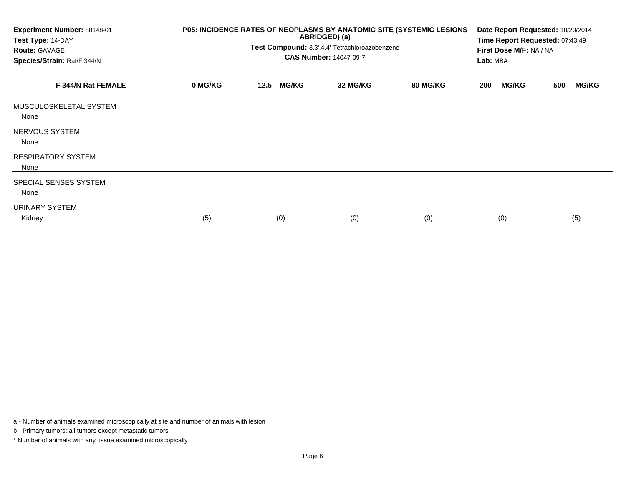| Experiment Number: 88148-01<br>Test Type: 14-DAY<br><b>Route: GAVAGE</b><br>Species/Strain: Rat/F 344/N | P05: INCIDENCE RATES OF NEOPLASMS BY ANATOMIC SITE (SYSTEMIC LESIONS<br>ABRIDGED) (a)<br>Test Compound: 3,3',4,4'-Tetrachloroazobenzene<br><b>CAS Number: 14047-09-7</b> |      |              |          |          | Date Report Requested: 10/20/2014<br>Time Report Requested: 07:43:49<br>First Dose M/F: NA / NA<br>Lab: MBA |              |     |              |
|---------------------------------------------------------------------------------------------------------|--------------------------------------------------------------------------------------------------------------------------------------------------------------------------|------|--------------|----------|----------|-------------------------------------------------------------------------------------------------------------|--------------|-----|--------------|
| F 344/N Rat FEMALE                                                                                      | 0 MG/KG                                                                                                                                                                  | 12.5 | <b>MG/KG</b> | 32 MG/KG | 80 MG/KG | 200                                                                                                         | <b>MG/KG</b> | 500 | <b>MG/KG</b> |
| MUSCULOSKELETAL SYSTEM<br>None                                                                          |                                                                                                                                                                          |      |              |          |          |                                                                                                             |              |     |              |
| NERVOUS SYSTEM<br>None                                                                                  |                                                                                                                                                                          |      |              |          |          |                                                                                                             |              |     |              |
| <b>RESPIRATORY SYSTEM</b><br>None                                                                       |                                                                                                                                                                          |      |              |          |          |                                                                                                             |              |     |              |
| SPECIAL SENSES SYSTEM<br>None                                                                           |                                                                                                                                                                          |      |              |          |          |                                                                                                             |              |     |              |
| URINARY SYSTEM<br>Kidney                                                                                | (5)                                                                                                                                                                      |      | (0)          | (0)      | (0)      |                                                                                                             | (0)          |     | (5)          |

a - Number of animals examined microscopically at site and number of animals with lesion

b - Primary tumors: all tumors except metastatic tumors